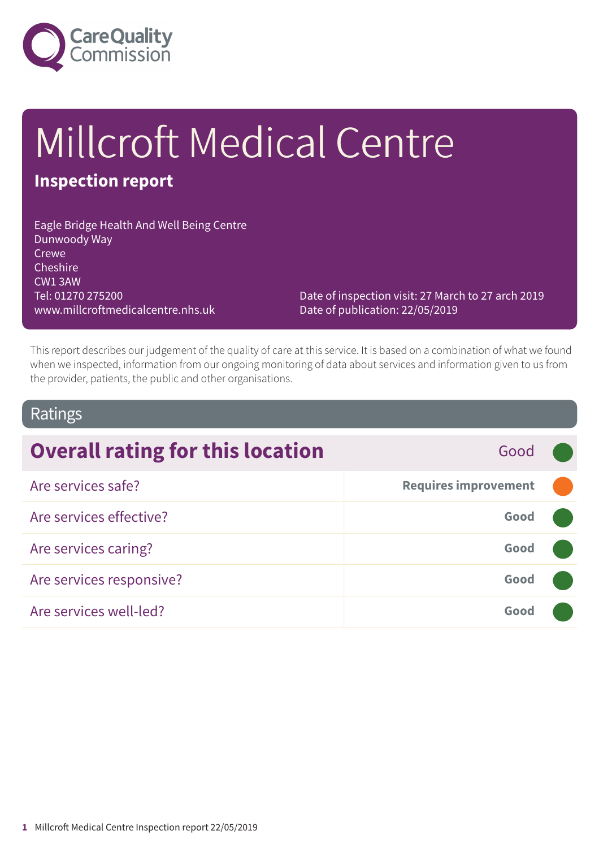

# Millcroft Medical Centre

#### **Inspection report**

Eagle Bridge Health And Well Being Centre Dunwoody Way Crewe Cheshire CW1 3AW Tel: 01270 275200 www.millcroftmedicalcentre.nhs.uk

Date of inspection visit: 27 March to 27 arch 2019 Date of publication: 22/05/2019

This report describes our judgement of the quality of care at this service. It is based on a combination of what we found when we inspected, information from our ongoing monitoring of data about services and information given to us from the provider, patients, the public and other organisations.

#### Ratings

| <b>Overall rating for this location</b><br>Good |                             |  |
|-------------------------------------------------|-----------------------------|--|
| Are services safe?                              | <b>Requires improvement</b> |  |
| Are services effective?                         | Good                        |  |
| Are services caring?                            | Good                        |  |
| Are services responsive?                        | Good                        |  |
| Are services well-led?                          | Good                        |  |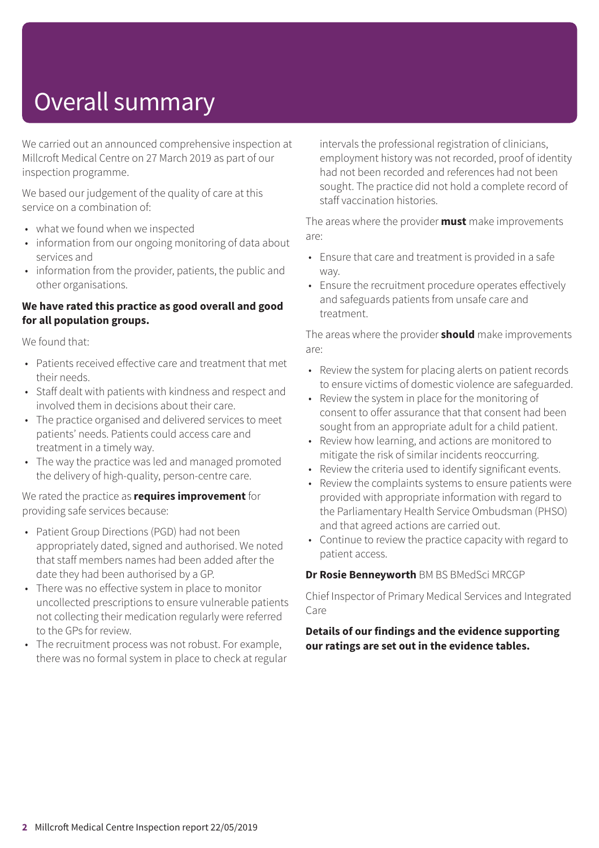# Overall summary

We carried out an announced comprehensive inspection at Millcroft Medical Centre on 27 March 2019 as part of our inspection programme.

We based our judgement of the quality of care at this service on a combination of:

- what we found when we inspected
- information from our ongoing monitoring of data about services and
- information from the provider, patients, the public and other organisations.

#### **We have rated this practice as good overall and good for all population groups.**

We found that:

- Patients received effective care and treatment that met their needs.
- Staff dealt with patients with kindness and respect and involved them in decisions about their care.
- The practice organised and delivered services to meet patients' needs. Patients could access care and treatment in a timely way.
- The way the practice was led and managed promoted the delivery of high-quality, person-centre care.

We rated the practice as **requires improvement** for providing safe services because:

- Patient Group Directions (PGD) had not been appropriately dated, signed and authorised. We noted that staff members names had been added after the date they had been authorised by a GP.
- There was no effective system in place to monitor uncollected prescriptions to ensure vulnerable patients not collecting their medication regularly were referred to the GPs for review.
- The recruitment process was not robust. For example, there was no formal system in place to check at regular

intervals the professional registration of clinicians, employment history was not recorded, proof of identity had not been recorded and references had not been sought. The practice did not hold a complete record of staff vaccination histories.

The areas where the provider **must** make improvements are:

- Ensure that care and treatment is provided in a safe way.
- Ensure the recruitment procedure operates effectively and safeguards patients from unsafe care and treatment.

The areas where the provider **should** make improvements are:

- Review the system for placing alerts on patient records to ensure victims of domestic violence are safeguarded.
- Review the system in place for the monitoring of consent to offer assurance that that consent had been sought from an appropriate adult for a child patient.
- Review how learning, and actions are monitored to mitigate the risk of similar incidents reoccurring.
- Review the criteria used to identify significant events.
- Review the complaints systems to ensure patients were provided with appropriate information with regard to the Parliamentary Health Service Ombudsman (PHSO) and that agreed actions are carried out.
- Continue to review the practice capacity with regard to patient access.

**Dr Rosie Benneyworth** BM BS BMedSci MRCGP

Chief Inspector of Primary Medical Services and Integrated Care

**Details of our findings and the evidence supporting our ratings are set out in the evidence tables.**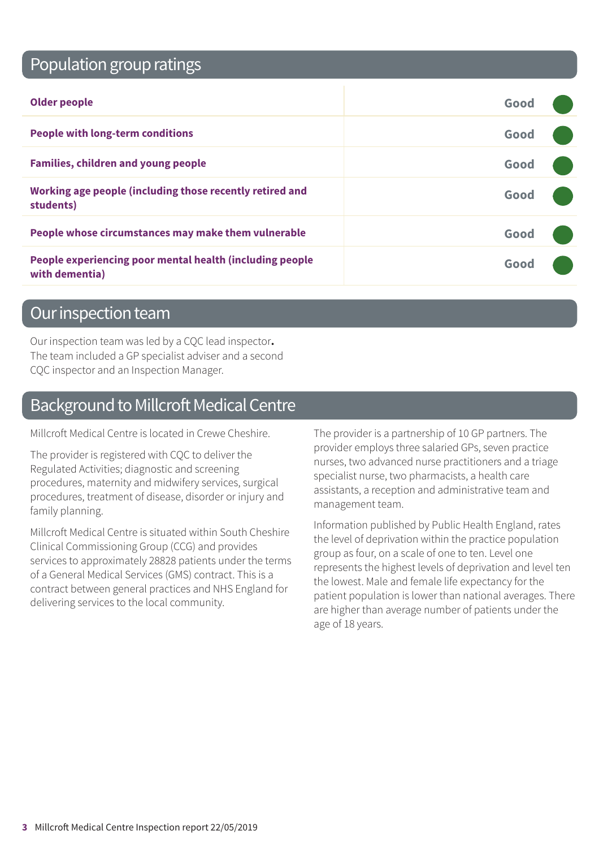### Population group ratings

| <b>Older people</b>                                                        | Good |  |
|----------------------------------------------------------------------------|------|--|
| <b>People with long-term conditions</b>                                    | Good |  |
| <b>Families, children and young people</b>                                 | Good |  |
| Working age people (including those recently retired and<br>students)      | Good |  |
| People whose circumstances may make them vulnerable                        | Good |  |
| People experiencing poor mental health (including people<br>with dementia) | Good |  |

#### Our inspection team

Our inspection team was led by a CQC lead inspector**.** The team included a GP specialist adviser and a second CQC inspector and an Inspection Manager.

## Background to Millcroft Medical Centre

Millcroft Medical Centre is located in Crewe Cheshire.

The provider is registered with CQC to deliver the Regulated Activities; diagnostic and screening procedures, maternity and midwifery services, surgical procedures, treatment of disease, disorder or injury and family planning.

Millcroft Medical Centre is situated within South Cheshire Clinical Commissioning Group (CCG) and provides services to approximately 28828 patients under the terms of a General Medical Services (GMS) contract. This is a contract between general practices and NHS England for delivering services to the local community.

The provider is a partnership of 10 GP partners. The provider employs three salaried GPs, seven practice nurses, two advanced nurse practitioners and a triage specialist nurse, two pharmacists, a health care assistants, a reception and administrative team and management team.

Information published by Public Health England, rates the level of deprivation within the practice population group as four, on a scale of one to ten. Level one represents the highest levels of deprivation and level ten the lowest. Male and female life expectancy for the patient population is lower than national averages. There are higher than average number of patients under the age of 18 years.